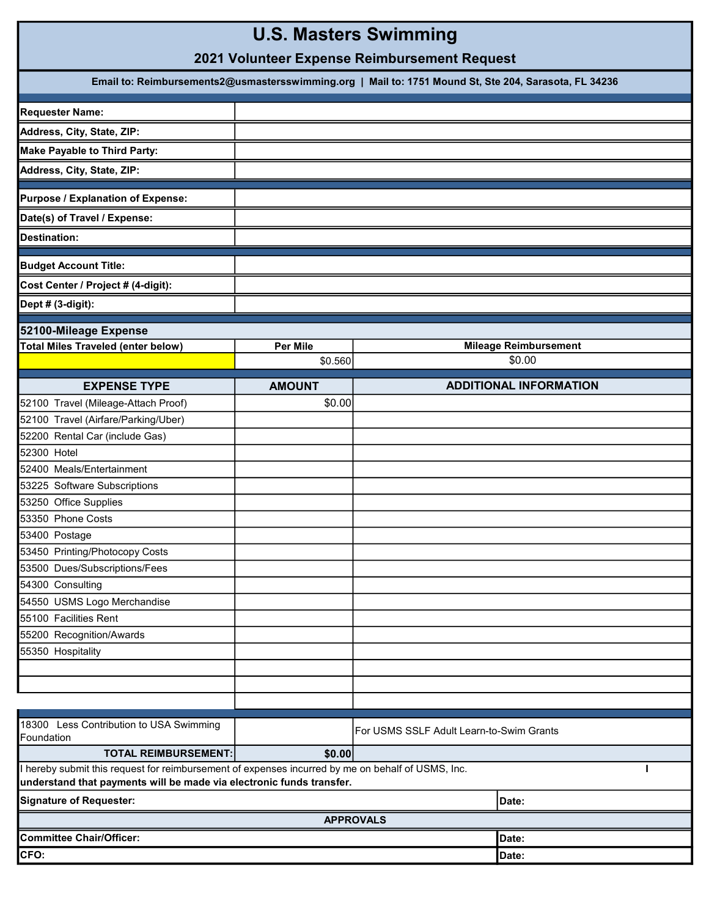# U.S. Masters Swimming

## 2021 Volunteer Expense Reimbursement Request

| Email to: Reimbursements2@usmastersswimming.org   Mail to: 1751 Mound St, Ste 204, Sarasota, FL 34236  |                 |                                          |                               |  |
|--------------------------------------------------------------------------------------------------------|-----------------|------------------------------------------|-------------------------------|--|
| <b>Requester Name:</b>                                                                                 |                 |                                          |                               |  |
| Address, City, State, ZIP:                                                                             |                 |                                          |                               |  |
| <b>Make Payable to Third Party:</b>                                                                    |                 |                                          |                               |  |
| Address, City, State, ZIP:                                                                             |                 |                                          |                               |  |
| Purpose / Explanation of Expense:                                                                      |                 |                                          |                               |  |
| Date(s) of Travel / Expense:                                                                           |                 |                                          |                               |  |
| Destination:                                                                                           |                 |                                          |                               |  |
|                                                                                                        |                 |                                          |                               |  |
| <b>Budget Account Title:</b>                                                                           |                 |                                          |                               |  |
| Cost Center / Project # (4-digit):                                                                     |                 |                                          |                               |  |
| Dept # (3-digit):                                                                                      |                 |                                          |                               |  |
| 52100-Mileage Expense                                                                                  |                 |                                          |                               |  |
| <b>Total Miles Traveled (enter below)</b>                                                              | <b>Per Mile</b> |                                          | <b>Mileage Reimbursement</b>  |  |
|                                                                                                        | \$0.560         |                                          | \$0.00                        |  |
| <b>EXPENSE TYPE</b>                                                                                    | <b>AMOUNT</b>   |                                          | <b>ADDITIONAL INFORMATION</b> |  |
| 52100 Travel (Mileage-Attach Proof)                                                                    | \$0.00          |                                          |                               |  |
| 52100 Travel (Airfare/Parking/Uber)                                                                    |                 |                                          |                               |  |
| 52200 Rental Car (include Gas)                                                                         |                 |                                          |                               |  |
| 52300 Hotel                                                                                            |                 |                                          |                               |  |
| 52400 Meals/Entertainment                                                                              |                 |                                          |                               |  |
| 53225 Software Subscriptions                                                                           |                 |                                          |                               |  |
| 53250 Office Supplies                                                                                  |                 |                                          |                               |  |
| 53350 Phone Costs                                                                                      |                 |                                          |                               |  |
| 53400 Postage                                                                                          |                 |                                          |                               |  |
| 53450 Printing/Photocopy Costs                                                                         |                 |                                          |                               |  |
| 53500 Dues/Subscriptions/Fees                                                                          |                 |                                          |                               |  |
| 54300 Consulting                                                                                       |                 |                                          |                               |  |
| 54550 USMS Logo Merchandise                                                                            |                 |                                          |                               |  |
| 55100 Facilities Rent                                                                                  |                 |                                          |                               |  |
| 55200 Recognition/Awards                                                                               |                 |                                          |                               |  |
| 55350 Hospitality                                                                                      |                 |                                          |                               |  |
|                                                                                                        |                 |                                          |                               |  |
|                                                                                                        |                 |                                          |                               |  |
|                                                                                                        |                 |                                          |                               |  |
|                                                                                                        |                 |                                          |                               |  |
| 18300 Less Contribution to USA Swimming<br>Foundation                                                  |                 | For USMS SSLF Adult Learn-to-Swim Grants |                               |  |
| <b>TOTAL REIMBURSEMENT:</b>                                                                            | \$0.00          |                                          |                               |  |
| I hereby submit this request for reimbursement of expenses incurred by me on behalf of USMS, Inc.      |                 |                                          |                               |  |
| understand that payments will be made via electronic funds transfer.<br><b>Signature of Requester:</b> |                 |                                          | Date:                         |  |
|                                                                                                        |                 | <b>APPROVALS</b>                         |                               |  |
| <b>Committee Chair/Officer:</b>                                                                        |                 |                                          | Date:                         |  |
| CFO:                                                                                                   |                 |                                          | Date:                         |  |
|                                                                                                        |                 |                                          |                               |  |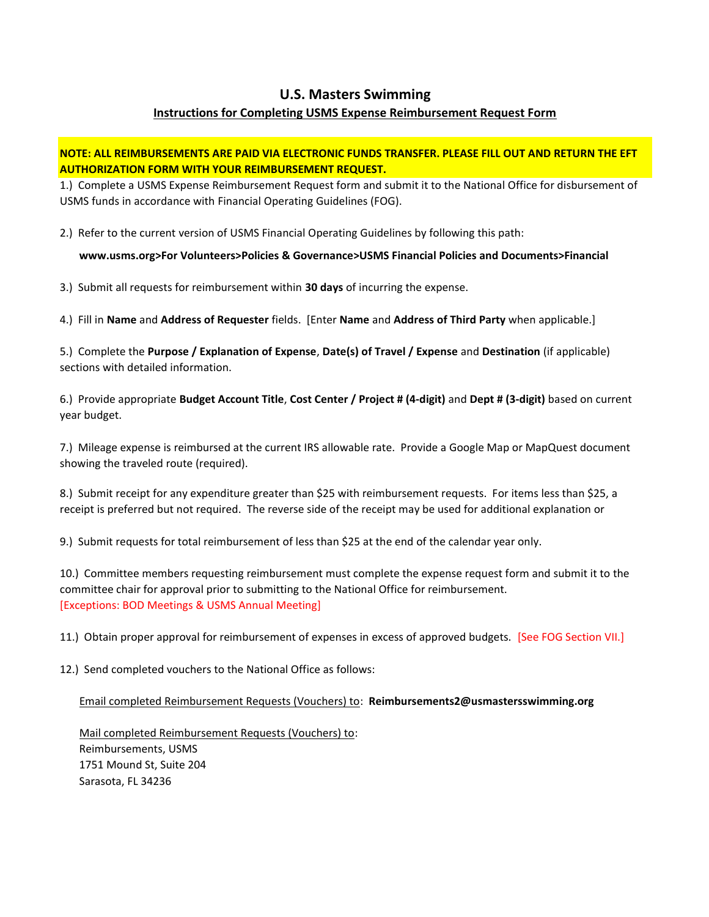#### U.S. Masters Swimming

#### Instructions for Completing USMS Expense Reimbursement Request Form

#### NOTE: ALL REIMBURSEMENTS ARE PAID VIA ELECTRONIC FUNDS TRANSFER. PLEASE FILL OUT AND RETURN THE EFT AUTHORIZATION FORM WITH YOUR REIMBURSEMENT REQUEST.

1.) Complete a USMS Expense Reimbursement Request form and submit it to the National Office for disbursement of USMS funds in accordance with Financial Operating Guidelines (FOG).

2.) Refer to the current version of USMS Financial Operating Guidelines by following this path:

www.usms.org>For Volunteers>Policies & Governance>USMS Financial Policies and Documents>Financial

3.) Submit all requests for reimbursement within 30 days of incurring the expense.

4.) Fill in Name and Address of Requester fields. [Enter Name and Address of Third Party when applicable.]

5.) Complete the Purpose / Explanation of Expense, Date(s) of Travel / Expense and Destination (if applicable) sections with detailed information.

6.) Provide appropriate Budget Account Title, Cost Center / Project # (4-digit) and Dept # (3-digit) based on current year budget.

7.) Mileage expense is reimbursed at the current IRS allowable rate. Provide a Google Map or MapQuest document showing the traveled route (required).

8.) Submit receipt for any expenditure greater than \$25 with reimbursement requests. For items less than \$25, a receipt is preferred but not required. The reverse side of the receipt may be used for additional explanation or

9.) Submit requests for total reimbursement of less than \$25 at the end of the calendar year only.

10.) Committee members requesting reimbursement must complete the expense request form and submit it to the committee chair for approval prior to submitting to the National Office for reimbursement. [Exceptions: BOD Meetings & USMS Annual Meeting]

11.) Obtain proper approval for reimbursement of expenses in excess of approved budgets. [See FOG Section VII.]

12.) Send completed vouchers to the National Office as follows:

Email completed Reimbursement Requests (Vouchers) to: Reimbursements2@usmastersswimming.org

 Mail completed Reimbursement Requests (Vouchers) to: Reimbursements, USMS 1751 Mound St, Suite 204 Sarasota, FL 34236